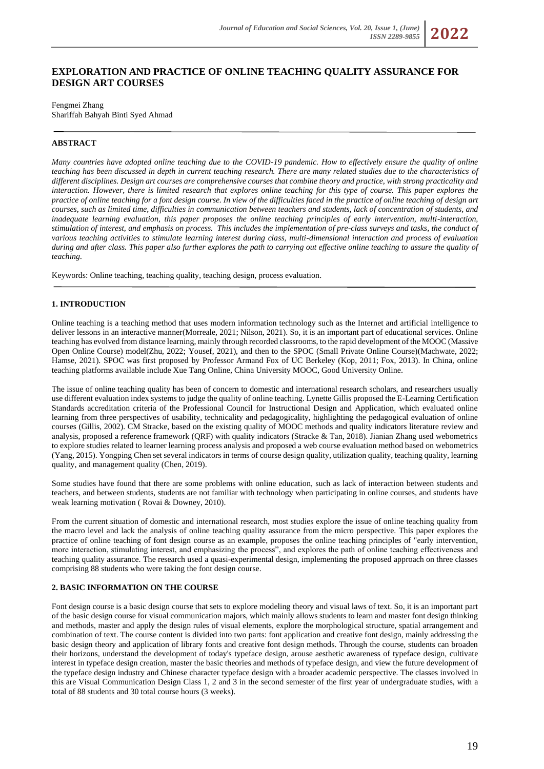# **EXPLORATION AND PRACTICE OF ONLINE TEACHING QUALITY ASSURANCE FOR DESIGN ART COURSES**

### Fengmei Zhang Shariffah Bahyah Binti Syed Ahmad

## **ABSTRACT**

*Many countries have adopted online teaching due to the COVID-19 pandemic. How to effectively ensure the quality of online teaching has been discussed in depth in current teaching research. There are many related studies due to the characteristics of different disciplines. Design art courses are comprehensive courses that combine theory and practice, with strong practicality and interaction. However, there is limited research that explores online teaching for this type of course. This paper explores the practice of online teaching for a font design course. In view of the difficulties faced in the practice of online teaching of design art courses, such as limited time, difficulties in communication between teachers and students, lack of concentration of students, and inadequate learning evaluation, this paper proposes the online teaching principles of early intervention, multi-interaction, stimulation of interest, and emphasis on process. This includes the implementation of pre-class surveys and tasks, the conduct of various teaching activities to stimulate learning interest during class, multi-dimensional interaction and process of evaluation during and after class. This paper also further explores the path to carrying out effective online teaching to assure the quality of teaching.*

Keywords: Online teaching, teaching quality, teaching design, process evaluation.

#### **1. INTRODUCTION**

Online teaching is a teaching method that uses modern information technology such as the Internet and artificial intelligence to deliver lessons in an interactive manner(Morreale, 2021; Nilson, 2021). So, it is an important part of educational services. Online teaching has evolved from distance learning, mainly through recorded classrooms, to the rapid development of the MOOC (Massive Open Online Course) model(Zhu, 2022; Yousef, 2021), and then to the SPOC (Small Private Online Course)(Machwate, 2022; Hamse, 2021). SPOC was first proposed by Professor Armand Fox of UC Berkeley (Kop, 2011; Fox, 2013). In China, online teaching platforms available include Xue Tang Online, China University MOOC, Good University Online.

The issue of online teaching quality has been of concern to domestic and international research scholars, and researchers usually use different evaluation index systems to judge the quality of online teaching. Lynette Gillis proposed the E-Learning Certification Standards accreditation criteria of the Professional Council for Instructional Design and Application, which evaluated online learning from three perspectives of usability, technicality and pedagogicality, highlighting the pedagogical evaluation of online courses (Gillis, 2002). CM Stracke, based on the existing quality of MOOC methods and quality indicators literature review and analysis, proposed a reference framework (ORF) with quality indicators (Stracke & Tan, 2018). Jianian Zhang used webometrics to explore studies related to learner learning process analysis and proposed a web course evaluation method based on webometrics (Yang, 2015). Yongping Chen set several indicators in terms of course design quality, utilization quality, teaching quality, learning quality, and management quality (Chen, 2019).

Some studies have found that there are some problems with online education, such as lack of interaction between students and teachers, and between students, students are not familiar with technology when participating in online courses, and students have weak learning motivation ( Rovai & Downey, 2010).

From the current situation of domestic and international research, most studies explore the issue of online teaching quality from the macro level and lack the analysis of online teaching quality assurance from the micro perspective. This paper explores the practice of online teaching of font design course as an example, proposes the online teaching principles of "early intervention, more interaction, stimulating interest, and emphasizing the process", and explores the path of online teaching effectiveness and teaching quality assurance. The research used a quasi-experimental design, implementing the proposed approach on three classes comprising 88 students who were taking the font design course.

#### **2. BASIC INFORMATION ON THE COURSE**

Font design course is a basic design course that sets to explore modeling theory and visual laws of text. So, it is an important part of the basic design course for visual communication majors, which mainly allows students to learn and master font design thinking and methods, master and apply the design rules of visual elements, explore the morphological structure, spatial arrangement and combination of text. The course content is divided into two parts: font application and creative font design, mainly addressing the basic design theory and application of library fonts and creative font design methods. Through the course, students can broaden their horizons, understand the development of today's typeface design, arouse aesthetic awareness of typeface design, cultivate interest in typeface design creation, master the basic theories and methods of typeface design, and view the future development of the typeface design industry and Chinese character typeface design with a broader academic perspective. The classes involved in this are Visual Communication Design Class 1, 2 and 3 in the second semester of the first year of undergraduate studies, with a total of 88 students and 30 total course hours (3 weeks).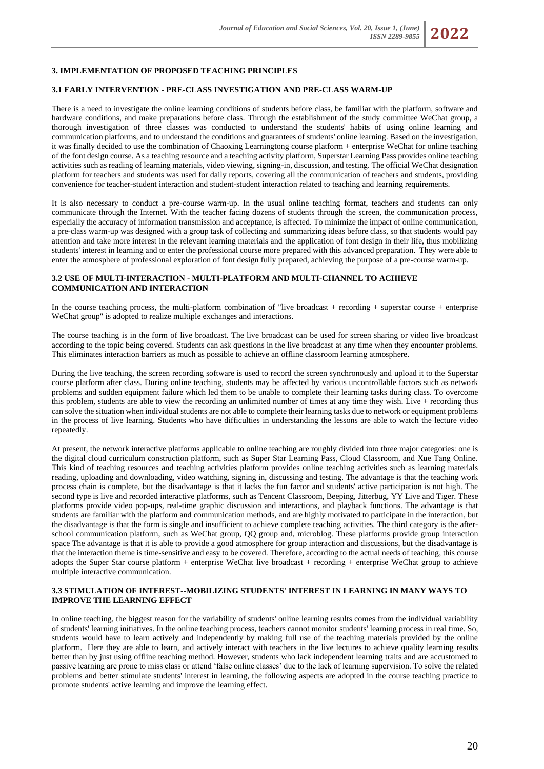# **3. IMPLEMENTATION OF PROPOSED TEACHING PRINCIPLES**

#### **3.1 EARLY INTERVENTION - PRE-CLASS INVESTIGATION AND PRE-CLASS WARM-UP**

There is a need to investigate the online learning conditions of students before class, be familiar with the platform, software and hardware conditions, and make preparations before class. Through the establishment of the study committee WeChat group, a thorough investigation of three classes was conducted to understand the students' habits of using online learning and communication platforms, and to understand the conditions and guarantees of students' online learning. Based on the investigation, it was finally decided to use the combination of Chaoxing Learningtong course platform + enterprise WeChat for online teaching of the font design course. As a teaching resource and a teaching activity platform, Superstar Learning Pass provides online teaching activities such as reading of learning materials, video viewing, signing-in, discussion, and testing. The official WeChat designation platform for teachers and students was used for daily reports, covering all the communication of teachers and students, providing convenience for teacher-student interaction and student-student interaction related to teaching and learning requirements.

It is also necessary to conduct a pre-course warm-up. In the usual online teaching format, teachers and students can only communicate through the Internet. With the teacher facing dozens of students through the screen, the communication process, especially the accuracy of information transmission and acceptance, is affected. To minimize the impact of online communication, a pre-class warm-up was designed with a group task of collecting and summarizing ideas before class, so that students would pay attention and take more interest in the relevant learning materials and the application of font design in their life, thus mobilizing students' interest in learning and to enter the professional course more prepared with this advanced preparation. They were able to enter the atmosphere of professional exploration of font design fully prepared, achieving the purpose of a pre-course warm-up.

### **3.2 USE OF MULTI-INTERACTION - MULTI-PLATFORM AND MULTI-CHANNEL TO ACHIEVE COMMUNICATION AND INTERACTION**

In the course teaching process, the multi-platform combination of "live broadcast + recording + superstar course + enterprise WeChat group" is adopted to realize multiple exchanges and interactions.

The course teaching is in the form of live broadcast. The live broadcast can be used for screen sharing or video live broadcast according to the topic being covered. Students can ask questions in the live broadcast at any time when they encounter problems. This eliminates interaction barriers as much as possible to achieve an offline classroom learning atmosphere.

During the live teaching, the screen recording software is used to record the screen synchronously and upload it to the Superstar course platform after class. During online teaching, students may be affected by various uncontrollable factors such as network problems and sudden equipment failure which led them to be unable to complete their learning tasks during class. To overcome this problem, students are able to view the recording an unlimited number of times at any time they wish. Live + recording thus can solve the situation when individual students are not able to complete their learning tasks due to network or equipment problems in the process of live learning. Students who have difficulties in understanding the lessons are able to watch the lecture video repeatedly.

At present, the network interactive platforms applicable to online teaching are roughly divided into three major categories: one is the digital cloud curriculum construction platform, such as Super Star Learning Pass, Cloud Classroom, and Xue Tang Online. This kind of teaching resources and teaching activities platform provides online teaching activities such as learning materials reading, uploading and downloading, video watching, signing in, discussing and testing. The advantage is that the teaching work process chain is complete, but the disadvantage is that it lacks the fun factor and students' active participation is not high. The second type is live and recorded interactive platforms, such as Tencent Classroom, Beeping, Jitterbug, YY Live and Tiger. These platforms provide video pop-ups, real-time graphic discussion and interactions, and playback functions. The advantage is that students are familiar with the platform and communication methods, and are highly motivated to participate in the interaction, but the disadvantage is that the form is single and insufficient to achieve complete teaching activities. The third category is the afterschool communication platform, such as WeChat group, QQ group and, microblog. These platforms provide group interaction space The advantage is that it is able to provide a good atmosphere for group interaction and discussions, but the disadvantage is that the interaction theme is time-sensitive and easy to be covered. Therefore, according to the actual needs of teaching, this course adopts the Super Star course platform + enterprise WeChat live broadcast + recording + enterprise WeChat group to achieve multiple interactive communication.

#### **3.3 STIMULATION OF INTEREST--MOBILIZING STUDENTS' INTEREST IN LEARNING IN MANY WAYS TO IMPROVE THE LEARNING EFFECT**

In online teaching, the biggest reason for the variability of students' online learning results comes from the individual variability of students' learning initiatives. In the online teaching process, teachers cannot monitor students' learning process in real time. So, students would have to learn actively and independently by making full use of the teaching materials provided by the online platform. Here they are able to learn, and actively interact with teachers in the live lectures to achieve quality learning results better than by just using offline teaching method. However, students who lack independent learning traits and are accustomed to passive learning are prone to miss class or attend 'false online classes' due to the lack of learning supervision. To solve the related problems and better stimulate students' interest in learning, the following aspects are adopted in the course teaching practice to promote students' active learning and improve the learning effect.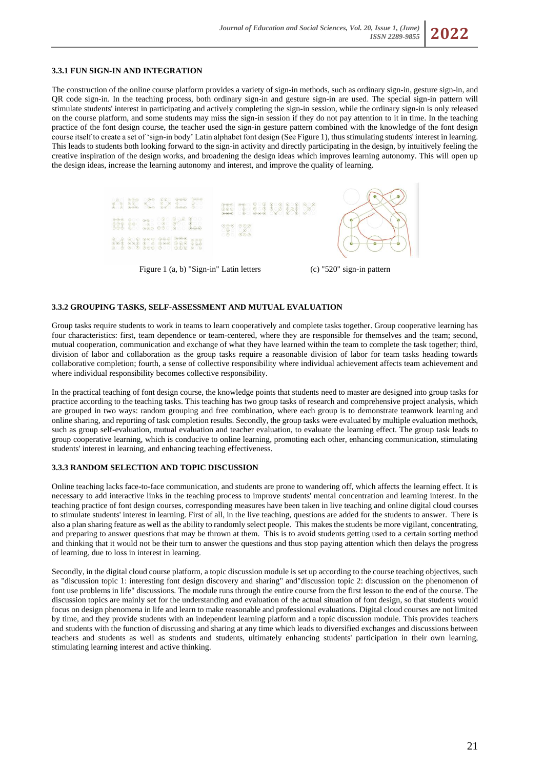# **3.3.1 FUN SIGN-IN AND INTEGRATION**

The construction of the online course platform provides a variety of sign-in methods, such as ordinary sign-in, gesture sign-in, and QR code sign-in. In the teaching process, both ordinary sign-in and gesture sign-in are used. The special sign-in pattern will stimulate students' interest in participating and actively completing the sign-in session, while the ordinary sign-in is only released on the course platform, and some students may miss the sign-in session if they do not pay attention to it in time. In the teaching practice of the font design course, the teacher used the sign-in gesture pattern combined with the knowledge of the font design course itself to create a set of 'sign-in body' Latin alphabet font design (See Figure 1), thus stimulating students' interest in learning. This leads to students both looking forward to the sign-in activity and directly participating in the design, by intuitively feeling the creative inspiration of the design works, and broadening the design ideas which improves learning autonomy. This will open up the design ideas, increase the learning autonomy and interest, and improve the quality of learning.



Figure 1 (a, b) "Sign-in" Latin letters (c) "520" sign-in pattern

#### **3.3.2 GROUPING TASKS, SELF-ASSESSMENT AND MUTUAL EVALUATION**

Group tasks require students to work in teams to learn cooperatively and complete tasks together. Group cooperative learning has four characteristics: first, team dependence or team-centered, where they are responsible for themselves and the team; second, mutual cooperation, communication and exchange of what they have learned within the team to complete the task together; third, division of labor and collaboration as the group tasks require a reasonable division of labor for team tasks heading towards collaborative completion; fourth, a sense of collective responsibility where individual achievement affects team achievement and where individual responsibility becomes collective responsibility.

In the practical teaching of font design course, the knowledge points that students need to master are designed into group tasks for practice according to the teaching tasks. This teaching has two group tasks of research and comprehensive project analysis, which are grouped in two ways: random grouping and free combination, where each group is to demonstrate teamwork learning and online sharing, and reporting of task completion results. Secondly, the group tasks were evaluated by multiple evaluation methods, such as group self-evaluation, mutual evaluation and teacher evaluation, to evaluate the learning effect. The group task leads to group cooperative learning, which is conducive to online learning, promoting each other, enhancing communication, stimulating students' interest in learning, and enhancing teaching effectiveness.

## **3.3.3 RANDOM SELECTION AND TOPIC DISCUSSION**

Online teaching lacks face-to-face communication, and students are prone to wandering off, which affects the learning effect. It is necessary to add interactive links in the teaching process to improve students' mental concentration and learning interest. In the teaching practice of font design courses, corresponding measures have been taken in live teaching and online digital cloud courses to stimulate students' interest in learning. First of all, in the live teaching, questions are added for the students to answer. There is also a plan sharing feature as well as the ability to randomly select people. This makes the students be more vigilant, concentrating, and preparing to answer questions that may be thrown at them. This is to avoid students getting used to a certain sorting method and thinking that it would not be their turn to answer the questions and thus stop paying attention which then delays the progress of learning, due to loss in interest in learning.

Secondly, in the digital cloud course platform, a topic discussion module is set up according to the course teaching objectives, such as "discussion topic 1: interesting font design discovery and sharing" and"discussion topic 2: discussion on the phenomenon of font use problems in life" discussions. The module runs through the entire course from the first lesson to the end of the course. The discussion topics are mainly set for the understanding and evaluation of the actual situation of font design, so that students would focus on design phenomena in life and learn to make reasonable and professional evaluations. Digital cloud courses are not limited by time, and they provide students with an independent learning platform and a topic discussion module. This provides teachers and students with the function of discussing and sharing at any time which leads to diversified exchanges and discussions between teachers and students as well as students and students, ultimately enhancing students' participation in their own learning, stimulating learning interest and active thinking.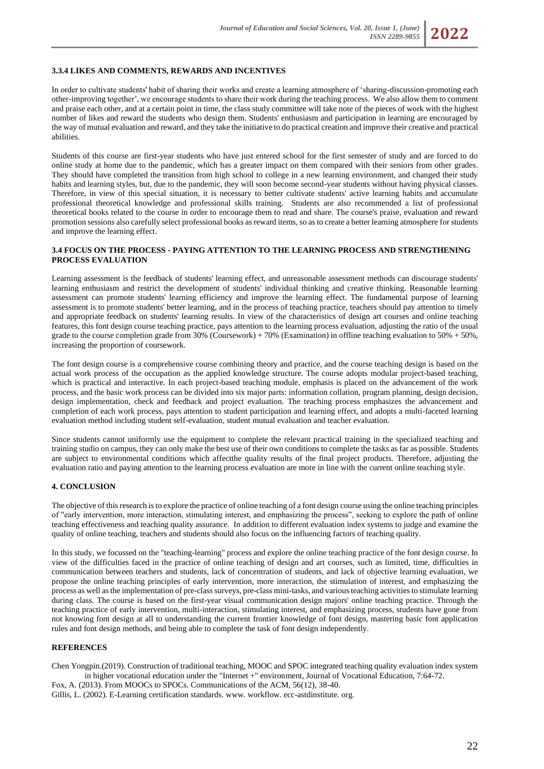#### **3.3.4 LIKES AND COMMENTS, REWARDS AND INCENTIVES**

In order to cultivate students' habit of sharing their works and create a learning atmosphere of 'sharing-discussion-promoting each other-improving together', we encourage students to share their work during the teaching process. We also allow them to comment and praise each other, and at a certain point in time, the class study committee will take note of the pieces of work with the highest number of likes and reward the students who design them. Students' enthusiasm and participation in learning are encouraged by the way of mutual evaluation and reward, and they take the initiative to do practical creation and improve their creative and practical abilities.

Students of this course are first-year students who have just entered school for the first semester of study and are forced to do online study at home due to the pandemic, which has a greater impact on them compared with their seniors from other grades. They should have completed the transition from high school to college in a new learning environment, and changed their study habits and learning styles, but, due to the pandemic, they will soon become second-year students without having physical classes. Therefore, in view of this special situation, it is necessary to better cultivate students' active learning habits and accumulate professional theoretical knowledge and professional skills training. Students are also recommended a list of professional theoretical books related to the course in order to encourage them to read and share. The course's praise, evaluation and reward promotion sessions also carefully select professional books as reward items, so as to create a better learning atmosphere for students and improve the learning effect.

#### **3.4 FOCUS ON THE PROCESS - PAYING ATTENTION TO THE LEARNING PROCESS AND STRENGTHENING PROCESS EVALUATION**

Learning assessment is the feedback of students' learning effect, and unreasonable assessment methods can discourage students' learning enthusiasm and restrict the development of students' individual thinking and creative thinking. Reasonable learning assessment can promote students' learning efficiency and improve the learning effect. The fundamental purpose of learning assessment is to promote students' better learning, and in the process of teaching practice, teachers should pay attention to timely and appropriate feedback on students' learning results. In view of the characteristics of design art courses and online teaching features, this font design course teaching practice, pays attention to the learning process evaluation, adjusting the ratio of the usual grade to the course completion grade from 30% (Coursework) + 70% (Examination) in offline teaching evaluation to 50% + 50%, increasing the proportion of coursework.

The font design course is a comprehensive course combining theory and practice, and the course teaching design is based on the actual work process of the occupation as the applied knowledge structure. The course adopts modular project-based teaching, which is practical and interactive. In each project-based teaching module, emphasis is placed on the advancement of the work process, and the basic work process can be divided into six major parts: information collation, program planning, design decision, design implementation, check and feedback and project evaluation. The teaching process emphasizes the advancement and completion of each work process, pays attention to student participation and learning effect, and adopts a multi-faceted learning evaluation method including student self-evaluation, student mutual evaluation and teacher evaluation.

Since students cannot uniformly use the equipment to complete the relevant practical training in the specialized teaching and training studio on campus, they can only make the best use of their own conditions to complete the tasks as far as possible. Students are subject to environmental conditions which affectthe quality results of the final project products. Therefore, adjusting the evaluation ratio and paying attention to the learning process evaluation are more in line with the current online teaching style.

#### **4. CONCLUSION**

The objective of this research is to explore the practice of online teaching of a font design course using the online teaching principles of "early intervention, more interaction, stimulating interest, and emphasizing the process", seeking to explore the path of online teaching effectiveness and teaching quality assurance. In addition to different evaluation index systems to judge and examine the quality of online teaching, teachers and students should also focus on the influencing factors of teaching quality.

In this study, we focussed on the "teaching-learning" process and explore the online teaching practice of the font design course. In view of the difficulties faced in the practice of online teaching of design and art courses, such as limited, time, difficulties in communication between teachers and students, lack of concentration of students, and lack of objective learning evaluation, we propose the online teaching principles of early intervention, more interaction, the stimulation of interest, and emphasizing the process as well as the implementation of pre-class surveys, pre-class mini-tasks, and various teaching activities to stimulate learning during class. The course is based on the first-year visual communication design majors' online teaching practice. Through the teaching practice of early intervention, multi-interaction, stimulating interest, and emphasizing process, students have gone from not knowing font design at all to understanding the current frontier knowledge of font design, mastering basic font application rules and font design methods, and being able to complete the task of font design independently.

### **REFERENCES**

Chen Yongpin.(2019). Construction of traditional teaching, MOOC and SPOC integrated teaching quality evaluation index system in higher vocational education under the "Internet +" environment, Journal of Vocational Education, 7:64-72.

Fox, A. (2013). From MOOCs to SPOCs. Communications of the ACM, 56(12), 38-40. Gillis, L. (2002). E-Learning certification standards. www. workflow. ecc-astdinstitute. org.